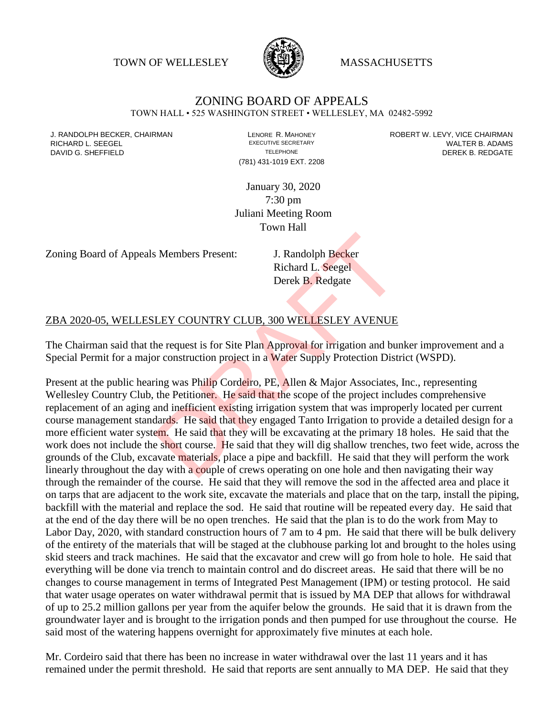TOWN OF WELLESLEY **WASSACHUSETTS** 



## ZONING BOARD OF APPEALS

TOWN HALL • 525 WASHINGTON STREET • WELLESLEY, MA 02482-5992

(781) 431-1019 EXT. 2208

J. RANDOLPH BECKER, CHAIRMAN LAND LENORE R. MAHONEY LENORE RESOLUTIVE SECRETARY LEVY, VICE CHAIRMAN LAND RISPO<br>RICHARD L. SFFGFI LADAMS RICHARD L. SEEGEL **EXECUTIVE SECRETARY CONTROLLY SECRETARY WALTER B. ADAMS** DAVID G. SHEFFIELD **TELEPHONE** TELEPHONE TELEPHONE **TELEPHONE DEREK B. REDGATE** 

> January 30, 2020 7:30 pm Juliani Meeting Room Town Hall

Zoning Board of Appeals Members Present: J. Randolph Becker

Richard L. Seegel Derek B. Redgate

## ZBA 2020-05, WELLESLEY COUNTRY CLUB, 300 WELLESLEY AVENUE

The Chairman said that the request is for Site Plan Approval for irrigation and bunker improvement and a Special Permit for a major construction project in a Water Supply Protection District (WSPD).

Present at the public hearing was Philip Cordeiro, PE, Allen & Major Associates, Inc., representing Wellesley Country Club, the Petitioner. He said that the scope of the project includes comprehensive replacement of an aging and inefficient existing irrigation system that was improperly located per current course management standards. He said that they engaged Tanto Irrigation to provide a detailed design for a more efficient water system. He said that they will be excavating at the primary 18 holes. He said that the work does not include the short course. He said that they will dig shallow trenches, two feet wide, across the grounds of the Club, excavate materials, place a pipe and backfill. He said that they will perform the work linearly throughout the day with a couple of crews operating on one hole and then navigating their way through the remainder of the course. He said that they will remove the sod in the affected area and place it on tarps that are adjacent to the work site, excavate the materials and place that on the tarp, install the piping, backfill with the material and replace the sod. He said that routine will be repeated every day. He said that at the end of the day there will be no open trenches. He said that the plan is to do the work from May to Labor Day, 2020, with standard construction hours of 7 am to 4 pm. He said that there will be bulk delivery of the entirety of the materials that will be staged at the clubhouse parking lot and brought to the holes using skid steers and track machines. He said that the excavator and crew will go from hole to hole. He said that everything will be done via trench to maintain control and do discreet areas. He said that there will be no changes to course management in terms of Integrated Pest Management (IPM) or testing protocol. He said that water usage operates on water withdrawal permit that is issued by MA DEP that allows for withdrawal of up to 25.2 million gallons per year from the aquifer below the grounds. He said that it is drawn from the groundwater layer and is brought to the irrigation ponds and then pumped for use throughout the course. He said most of the watering happens overnight for approximately five minutes at each hole. J. Randolph Becker<br>
Richard L. Seegel<br>
Derek B. Redgate<br>
Derek B. Redgate<br>
Derek B. Redgate<br>
LEY COUNTRY CLUB, 300 WELLESLEY AVENUE<br>
the request is for Site Plan Approval for irrigation and bur<br>
or construction project in

Mr. Cordeiro said that there has been no increase in water withdrawal over the last 11 years and it has remained under the permit threshold. He said that reports are sent annually to MA DEP. He said that they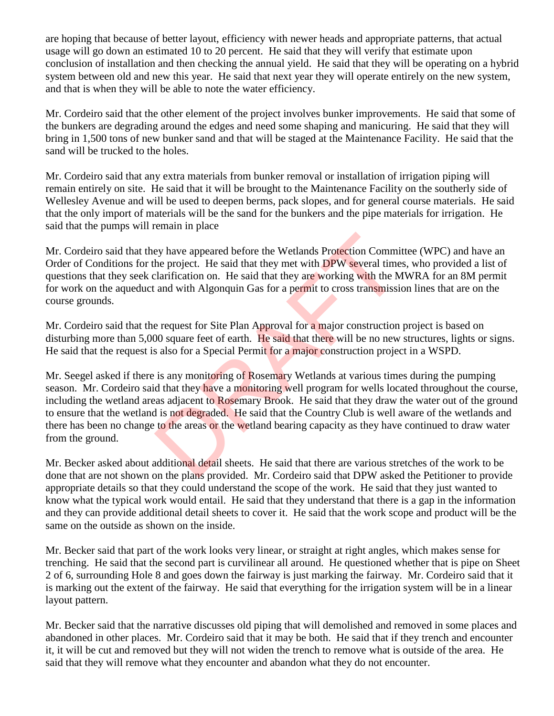are hoping that because of better layout, efficiency with newer heads and appropriate patterns, that actual usage will go down an estimated 10 to 20 percent. He said that they will verify that estimate upon conclusion of installation and then checking the annual yield. He said that they will be operating on a hybrid system between old and new this year. He said that next year they will operate entirely on the new system, and that is when they will be able to note the water efficiency.

Mr. Cordeiro said that the other element of the project involves bunker improvements. He said that some of the bunkers are degrading around the edges and need some shaping and manicuring. He said that they will bring in 1,500 tons of new bunker sand and that will be staged at the Maintenance Facility. He said that the sand will be trucked to the holes.

Mr. Cordeiro said that any extra materials from bunker removal or installation of irrigation piping will remain entirely on site. He said that it will be brought to the Maintenance Facility on the southerly side of Wellesley Avenue and will be used to deepen berms, pack slopes, and for general course materials. He said that the only import of materials will be the sand for the bunkers and the pipe materials for irrigation. He said that the pumps will remain in place

Mr. Cordeiro said that they have appeared before the Wetlands Protection Committee (WPC) and have an Order of Conditions for the project. He said that they met with **DPW** several times, who provided a list of questions that they seek clarification on. He said that they are working with the MWRA for an 8M permit for work on the aqueduct and with Algonquin Gas for a permit to cross transmission lines that are on the course grounds.

Mr. Cordeiro said that the request for Site Plan Approval for a major construction project is based on disturbing more than 5,000 square feet of earth. He said that there will be no new structures, lights or signs. He said that the request is also for a Special Permit for a major construction project in a WSPD.

Mr. Seegel asked if there is any monitoring of Rosemary Wetlands at various times during the pumping season. Mr. Cordeiro said that they have a monitoring well program for wells located throughout the course, including the wetland areas adjacent to Rosemary Brook. He said that they draw the water out of the ground to ensure that the wetland is not degraded. He said that the Country Club is well aware of the wetlands and there has been no change to the areas or the wetland bearing capacity as they have continued to draw water from the ground. ey have appeared before the Wetlands Protection Commi<br>he project. He said that they met with DPW several time<br>clarification on. He said that they are working with the M<br>and with Algonquin Gas for a permit to cross transmis

Mr. Becker asked about additional detail sheets. He said that there are various stretches of the work to be done that are not shown on the plans provided. Mr. Cordeiro said that DPW asked the Petitioner to provide appropriate details so that they could understand the scope of the work. He said that they just wanted to know what the typical work would entail. He said that they understand that there is a gap in the information and they can provide additional detail sheets to cover it. He said that the work scope and product will be the same on the outside as shown on the inside.

Mr. Becker said that part of the work looks very linear, or straight at right angles, which makes sense for trenching. He said that the second part is curvilinear all around. He questioned whether that is pipe on Sheet 2 of 6, surrounding Hole 8 and goes down the fairway is just marking the fairway. Mr. Cordeiro said that it is marking out the extent of the fairway. He said that everything for the irrigation system will be in a linear layout pattern.

Mr. Becker said that the narrative discusses old piping that will demolished and removed in some places and abandoned in other places. Mr. Cordeiro said that it may be both. He said that if they trench and encounter it, it will be cut and removed but they will not widen the trench to remove what is outside of the area. He said that they will remove what they encounter and abandon what they do not encounter.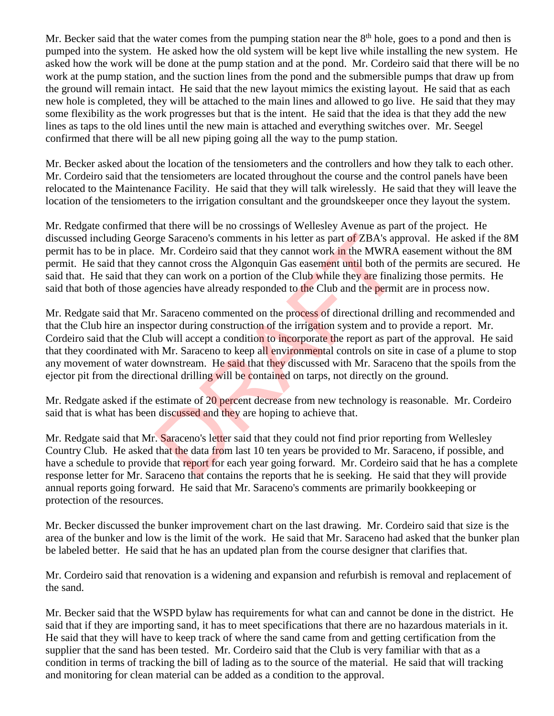Mr. Becker said that the water comes from the pumping station near the  $8<sup>th</sup>$  hole, goes to a pond and then is pumped into the system. He asked how the old system will be kept live while installing the new system. He asked how the work will be done at the pump station and at the pond. Mr. Cordeiro said that there will be no work at the pump station, and the suction lines from the pond and the submersible pumps that draw up from the ground will remain intact. He said that the new layout mimics the existing layout. He said that as each new hole is completed, they will be attached to the main lines and allowed to go live. He said that they may some flexibility as the work progresses but that is the intent. He said that the idea is that they add the new lines as taps to the old lines until the new main is attached and everything switches over. Mr. Seegel confirmed that there will be all new piping going all the way to the pump station.

Mr. Becker asked about the location of the tensiometers and the controllers and how they talk to each other. Mr. Cordeiro said that the tensiometers are located throughout the course and the control panels have been relocated to the Maintenance Facility. He said that they will talk wirelessly. He said that they will leave the location of the tensiometers to the irrigation consultant and the groundskeeper once they layout the system.

Mr. Redgate confirmed that there will be no crossings of Wellesley Avenue as part of the project. He discussed including George Saraceno's comments in his letter as part of ZBA's approval. He asked if the 8M permit has to be in place. Mr. Cordeiro said that they cannot work in the MWRA easement without the 8M permit. He said that they cannot cross the Algonquin Gas easement until both of the permits are secured. He said that. He said that they can work on a portion of the Club while they are finalizing those permits. He said that both of those agencies have already responded to the Club and the permit are in process now.

Mr. Redgate said that Mr. Saraceno commented on the process of directional drilling and recommended and that the Club hire an inspector during construction of the irrigation system and to provide a report. Mr. Cordeiro said that the Club will accept a condition to incorporate the report as part of the approval. He said that they coordinated with Mr. Saraceno to keep all environmental controls on site in case of a plume to stop any movement of water downstream. He said that they discussed with Mr. Saraceno that the spoils from the ejector pit from the directional drilling will be contained on tarps, not directly on the ground. The Saraceno's comments in his letter as part of ZBA's ap Mr. Cordeiro said that they cannot work in the MWRA<br>
cannot cross the Algonquin Gas easement until both of the year cannot cross the Algonquin Gas easement until bo

Mr. Redgate asked if the estimate of 20 percent decrease from new technology is reasonable. Mr. Cordeiro said that is what has been discussed and they are hoping to achieve that.

Mr. Redgate said that Mr. Saraceno's letter said that they could not find prior reporting from Wellesley Country Club. He asked that the data from last 10 ten years be provided to Mr. Saraceno, if possible, and have a schedule to provide that report for each year going forward. Mr. Cordeiro said that he has a complete response letter for Mr. Saraceno that contains the reports that he is seeking. He said that they will provide annual reports going forward. He said that Mr. Saraceno's comments are primarily bookkeeping or protection of the resources.

Mr. Becker discussed the bunker improvement chart on the last drawing. Mr. Cordeiro said that size is the area of the bunker and low is the limit of the work. He said that Mr. Saraceno had asked that the bunker plan be labeled better. He said that he has an updated plan from the course designer that clarifies that.

Mr. Cordeiro said that renovation is a widening and expansion and refurbish is removal and replacement of the sand.

Mr. Becker said that the WSPD bylaw has requirements for what can and cannot be done in the district. He said that if they are importing sand, it has to meet specifications that there are no hazardous materials in it. He said that they will have to keep track of where the sand came from and getting certification from the supplier that the sand has been tested. Mr. Cordeiro said that the Club is very familiar with that as a condition in terms of tracking the bill of lading as to the source of the material. He said that will tracking and monitoring for clean material can be added as a condition to the approval.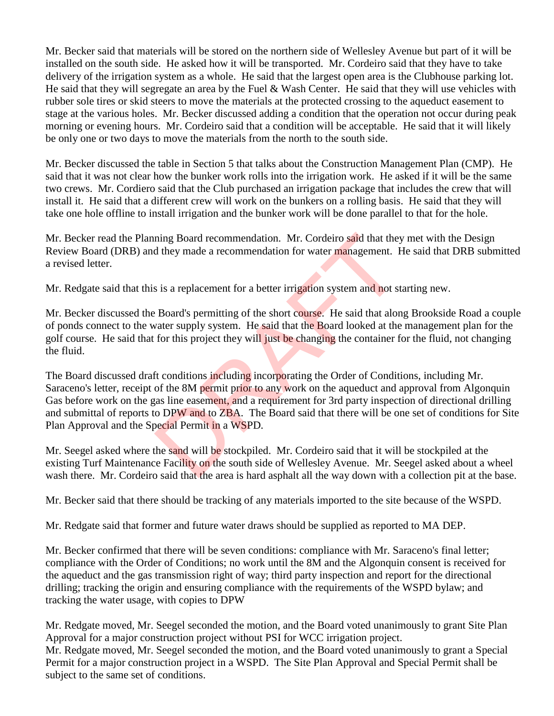Mr. Becker said that materials will be stored on the northern side of Wellesley Avenue but part of it will be installed on the south side. He asked how it will be transported. Mr. Cordeiro said that they have to take delivery of the irrigation system as a whole. He said that the largest open area is the Clubhouse parking lot. He said that they will segregate an area by the Fuel & Wash Center. He said that they will use vehicles with rubber sole tires or skid steers to move the materials at the protected crossing to the aqueduct easement to stage at the various holes. Mr. Becker discussed adding a condition that the operation not occur during peak morning or evening hours. Mr. Cordeiro said that a condition will be acceptable. He said that it will likely be only one or two days to move the materials from the north to the south side.

Mr. Becker discussed the table in Section 5 that talks about the Construction Management Plan (CMP). He said that it was not clear how the bunker work rolls into the irrigation work. He asked if it will be the same two crews. Mr. Cordiero said that the Club purchased an irrigation package that includes the crew that will install it. He said that a different crew will work on the bunkers on a rolling basis. He said that they will take one hole offline to install irrigation and the bunker work will be done parallel to that for the hole.

Mr. Becker read the Planning Board recommendation. Mr. Cordeiro said that they met with the Design Review Board (DRB) and they made a recommendation for water management. He said that DRB submitted a revised letter.

Mr. Redgate said that this is a replacement for a better irrigation system and not starting new.

Mr. Becker discussed the Board's permitting of the short course. He said that along Brookside Road a couple of ponds connect to the water supply system. He said that the Board looked at the management plan for the golf course. He said that for this project they will just be changing the container for the fluid, not changing the fluid.

The Board discussed draft conditions including incorporating the Order of Conditions, including Mr. Saraceno's letter, receipt of the 8M permit prior to any work on the aqueduct and approval from Algonquin Gas before work on the gas line easement, and a requirement for 3rd party inspection of directional drilling and submittal of reports to DPW and to ZBA. The Board said that there will be one set of conditions for Site Plan Approval and the Special Permit in a WSPD. ning Board recommendation. Mr. Cordeiro said that the<br>d they made a recommendation for water management. I<br>s is a replacement for a better irrigation system and not st<br>Board's permitting of the short course. He said that a

Mr. Seegel asked where the sand will be stockpiled. Mr. Cordeiro said that it will be stockpiled at the existing Turf Maintenance Facility on the south side of Wellesley Avenue. Mr. Seegel asked about a wheel wash there. Mr. Cordeiro said that the area is hard asphalt all the way down with a collection pit at the base.

Mr. Becker said that there should be tracking of any materials imported to the site because of the WSPD.

Mr. Redgate said that former and future water draws should be supplied as reported to MA DEP.

Mr. Becker confirmed that there will be seven conditions: compliance with Mr. Saraceno's final letter; compliance with the Order of Conditions; no work until the 8M and the Algonquin consent is received for the aqueduct and the gas transmission right of way; third party inspection and report for the directional drilling; tracking the origin and ensuring compliance with the requirements of the WSPD bylaw; and tracking the water usage, with copies to DPW

Mr. Redgate moved, Mr. Seegel seconded the motion, and the Board voted unanimously to grant Site Plan Approval for a major construction project without PSI for WCC irrigation project. Mr. Redgate moved, Mr. Seegel seconded the motion, and the Board voted unanimously to grant a Special Permit for a major construction project in a WSPD. The Site Plan Approval and Special Permit shall be subject to the same set of conditions.